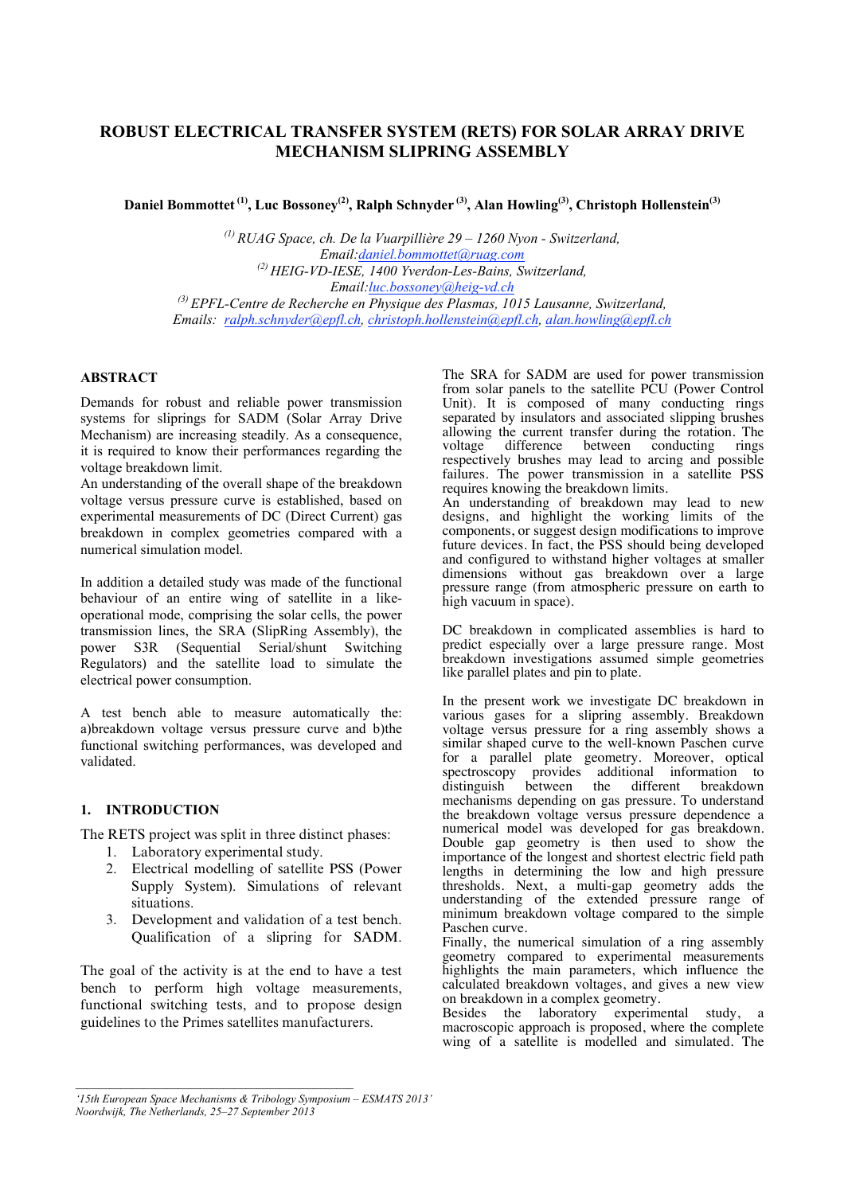# **ROBUST ELECTRICAL TRANSFER SYSTEM (RETS) FOR SOLAR ARRAY DRIVE MECHANISM SLIPRING ASSEMBLY**

**Daniel Bommottet (1), Luc Bossoney(2) , Ralph Schnyder (3), Alan Howling(3) , Christoph Hollenstein(3)**

*(1) RUAG Space, ch. De la Vuarpillière 29 – 1260 Nyon - Switzerland, Email:daniel.bommottet@ruag.com (2) HEIG-VD-IESE, 1400 Yverdon-Les-Bains, Switzerland, Email:luc.bossoney@heig-vd.ch (3) EPFL-Centre de Recherche en Physique des Plasmas, 1015 Lausanne, Switzerland, Emails: ralph.schnyder@epfl.ch, christoph.hollenstein@epfl.ch, alan.howling@epfl.ch*

## **ABSTRACT**

Demands for robust and reliable power transmission systems for sliprings for SADM (Solar Array Drive Mechanism) are increasing steadily. As a consequence, it is required to know their performances regarding the voltage breakdown limit.

An understanding of the overall shape of the breakdown voltage versus pressure curve is established, based on experimental measurements of DC (Direct Current) gas breakdown in complex geometries compared with a numerical simulation model.

In addition a detailed study was made of the functional behaviour of an entire wing of satellite in a likeoperational mode, comprising the solar cells, the power transmission lines, the SRA (SlipRing Assembly), the power S3R (Sequential Serial/shunt Switching Regulators) and the satellite load to simulate the electrical power consumption.

A test bench able to measure automatically the: a)breakdown voltage versus pressure curve and b)the functional switching performances, was developed and validated.

#### **1. INTRODUCTION**

The RETS project was split in three distinct phases:

- 1. Laboratory experimental study.
- 2. Electrical modelling of satellite PSS (Power Supply System). Simulations of relevant situations.
- 3. Development and validation of a test bench. Qualification of a slipring for SADM.

The goal of the activity is at the end to have a test bench to perform high voltage measurements, functional switching tests, and to propose design guidelines to the Primes satellites manufacturers.

The SRA for SADM are used for power transmission from solar panels to the satellite PCU (Power Control Unit). It is composed of many conducting rings separated by insulators and associated slipping brushes allowing the current transfer during the rotation. The voltage difference between conducting rings respectively brushes may lead to arcing and possible failures. The power transmission in a satellite PSS requires knowing the breakdown limits. An understanding of breakdown may lead to new designs, and highlight the working limits of the components, or suggest design modifications to improve

future devices. In fact, the PSS should being developed and configured to withstand higher voltages at smaller dimensions without gas breakdown over a large pressure range (from atmospheric pressure on earth to high vacuum in space).

DC breakdown in complicated assemblies is hard to predict especially over a large pressure range. Most breakdown investigations assumed simple geometries like parallel plates and pin to plate.

In the present work we investigate DC breakdown in various gases for a slipring assembly. Breakdown voltage versus pressure for a ring assembly shows a similar shaped curve to the well-known Paschen curve for a parallel plate geometry. Moreover, optical spectroscopy provides additional information to distinguish between the different breakdown mechanisms depending on gas pressure. To understand the breakdown voltage versus pressure dependence a numerical model was developed for gas breakdown. Double gap geometry is then used to show the importance of the longest and shortest electric field path lengths in determining the low and high pressure thresholds. Next, a multi-gap geometry adds the understanding of the extended pressure range of minimum breakdown voltage compared to the simple Paschen curve.

Finally, the numerical simulation of a ring assembly geometry compared to experimental measurements highlights the main parameters, which influence the calculated breakdown voltages, and gives a new view on breakdown in a complex geometry.

Besides the laboratory experimental study, a macroscopic approach is proposed, where the complete wing of a satellite is modelled and simulated. The

*<sup>&#</sup>x27;15th European Space Mechanisms & Tribology Symposium – ESMATS 2013' Noordwijk, The Netherlands, 25–27 September 2013*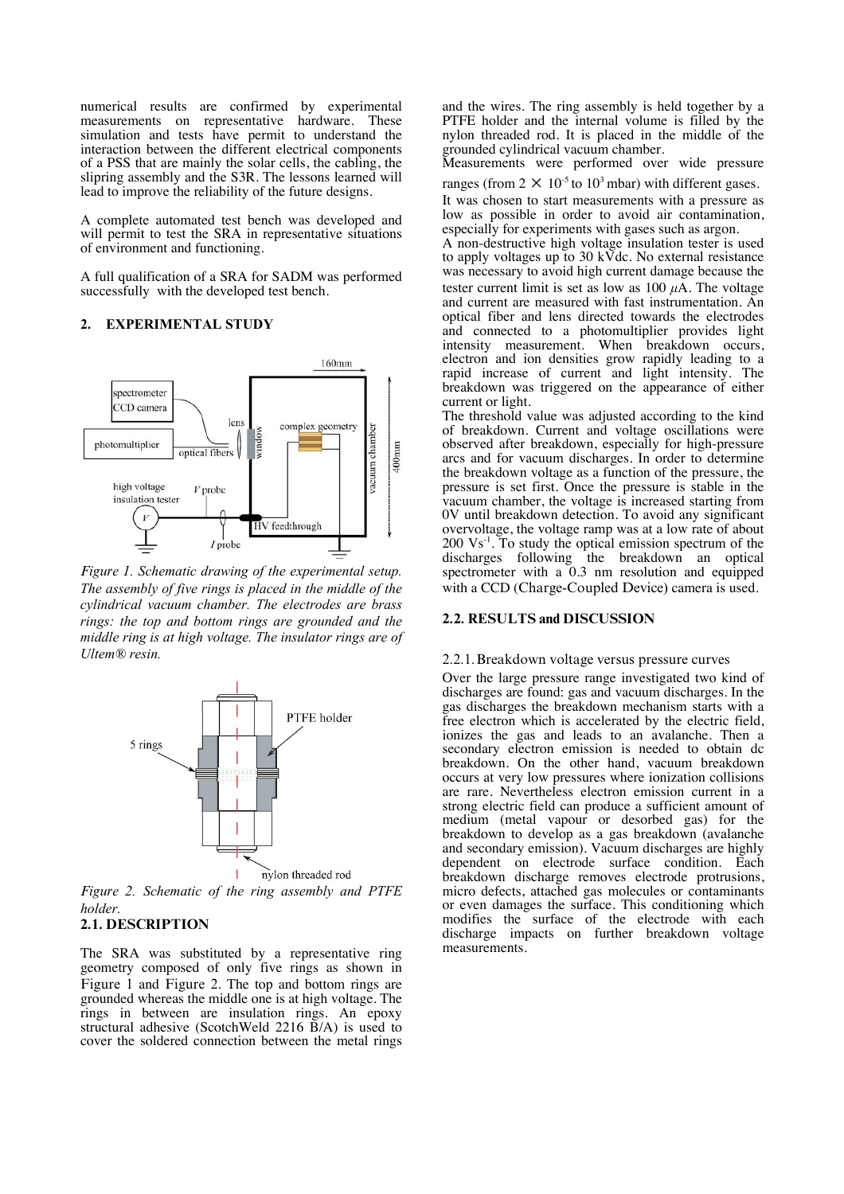numerical results are confirmed by experimental measurements on representative hardware. These simulation and tests have permit to understand the interaction between the different electrical components of a PSS that are mainly the solar cells, the cabling, the slipring assembly and the S3R. The lessons learned will lead to improve the reliability of the future designs.

A complete automated test bench was developed and will permit to test the SRA in representative situations of environment and functioning.

A full qualification of a SRA for SADM was performed successfully with the developed test bench.

#### **2. EXPERIMENTAL STUDY**



*Figure 1. Schematic drawing of the experimental setup. The assembly of five rings is placed in the middle of the cylindrical vacuum chamber. The electrodes are brass rings: the top and bottom rings are grounded and the middle ring is at high voltage. The insulator rings are of Ultem® resin.*



*Figure 2. Schematic of the ring assembly and PTFE holder.* 

## **2.1. DESCRIPTION**

The SRA was substituted by a representative ring geometry composed of only five rings as shown in Figure 1 and Figure 2. The top and bottom rings are grounded whereas the middle one is at high voltage. The rings in between are insulation rings. An epoxy structural adhesive (ScotchWeld 2216 B/A) is used to cover the soldered connection between the metal rings and the wires. The ring assembly is held together by a PTFE holder and the internal volume is filled by the nylon threaded rod. It is placed in the middle of the grounded cylindrical vacuum chamber.

Measurements were performed over wide pressure

ranges (from  $2 \times 10^{-5}$  to  $10^3$  mbar) with different gases. It was chosen to start measurements with a pressure as low as possible in order to avoid air contamination, especially for experiments with gases such as argon.

A non-destructive high voltage insulation tester is used to apply voltages up to 30 kVdc. No external resistance was necessary to avoid high current damage because the tester current limit is set as low as  $100 \mu A$ . The voltage and current are measured with fast instrumentation. An optical fiber and lens directed towards the electrodes and connected to a photomultiplier provides light intensity measurement. When breakdown occurs, electron and ion densities grow rapidly leading to a rapid increase of current and light intensity. The breakdown was triggered on the appearance of either current or light.

The threshold value was adjusted according to the kind of breakdown. Current and voltage oscillations were observed after breakdown, especially for high-pressure arcs and for vacuum discharges. In order to determine the breakdown voltage as a function of the pressure, the pressure is set first. Once the pressure is stable in the vacuum chamber, the voltage is increased starting from 0V until breakdown detection. To avoid any significant overvoltage, the voltage ramp was at a low rate of about  $200 \text{ Vs}^{-1}$ . To study the optical emission spectrum of the discharges following the breakdown an optical spectrometer with a 0.3 nm resolution and equipped with a CCD (Charge-Coupled Device) camera is used.

#### **2.2. RESULTS and DISCUSSION**

#### 2.2.1.Breakdown voltage versus pressure curves

Over the large pressure range investigated two kind of discharges are found: gas and vacuum discharges. In the gas discharges the breakdown mechanism starts with a free electron which is accelerated by the electric field, ionizes the gas and leads to an avalanche. Then a secondary electron emission is needed to obtain dc breakdown. On the other hand, vacuum breakdown occurs at very low pressures where ionization collisions are rare. Nevertheless electron emission current in a strong electric field can produce a sufficient amount of medium (metal vapour or desorbed gas) for the breakdown to develop as a gas breakdown (avalanche and secondary emission). Vacuum discharges are highly dependent on electrode surface condition. Each breakdown discharge removes electrode protrusions, micro defects, attached gas molecules or contaminants or even damages the surface. This conditioning which modifies the surface of the electrode with each discharge impacts on further breakdown voltage measurements.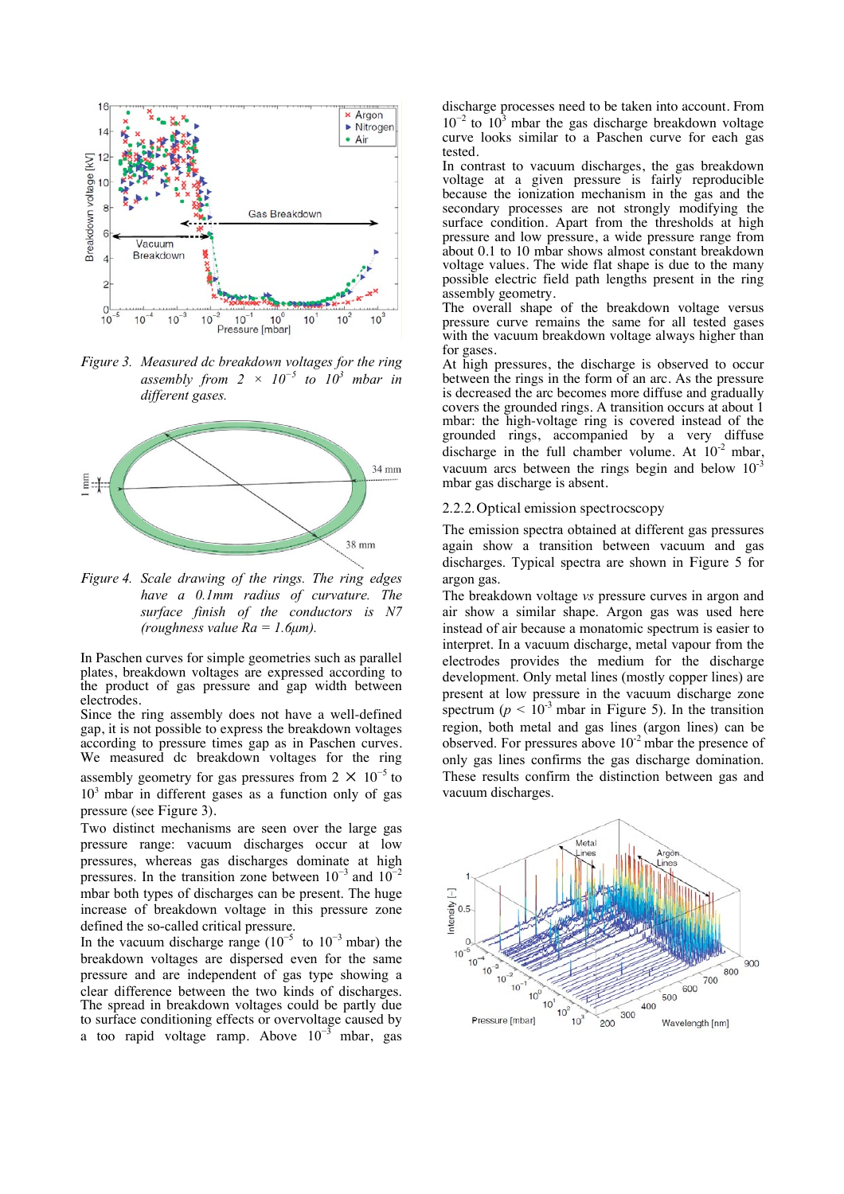

*Figure 3. Measured dc breakdown voltages for the ring assembly from*  $2 \times 10^{-5}$  *to*  $10^{3}$  *mbar in different gases.* 



*Figure 4. Scale drawing of the rings. The ring edges have a 0.1mm radius of curvature. The surface finish of the conductors is N7 (roughness value Ra = 1.6µm).* 

In Paschen curves for simple geometries such as parallel plates, breakdown voltages are expressed according to the product of gas pressure and gap width between electrodes.

Since the ring assembly does not have a well-defined gap, it is not possible to express the breakdown voltages according to pressure times gap as in Paschen curves. We measured dc breakdown voltages for the ring assembly geometry for gas pressures from  $2 \times 10^{-5}$  to

 $10<sup>3</sup>$  mbar in different gases as a function only of gas pressure (see Figure 3).

Two distinct mechanisms are seen over the large gas pressure range: vacuum discharges occur at low pressures, whereas gas discharges dominate at high pressures. In the transition zone between  $10^{-3}$  and  $10^{-2}$ mbar both types of discharges can be present. The huge increase of breakdown voltage in this pressure zone defined the so-called critical pressure.

In the vacuum discharge range ( $10^{-5}$  to  $10^{-3}$  mbar) the breakdown voltages are dispersed even for the same pressure and are independent of gas type showing a clear difference between the two kinds of discharges. The spread in breakdown voltages could be partly due to surface conditioning effects or overvoltage caused by a too rapid voltage ramp. Above  $10^{-3}$  mbar, gas discharge processes need to be taken into account. From  $10^{-2}$  to  $10^{3}$  mbar the gas discharge breakdown voltage curve looks similar to a Paschen curve for each gas tested.

In contrast to vacuum discharges, the gas breakdown voltage at a given pressure is fairly reproducible because the ionization mechanism in the gas and the secondary processes are not strongly modifying the surface condition. Apart from the thresholds at high pressure and low pressure, a wide pressure range from about 0.1 to 10 mbar shows almost constant breakdown voltage values. The wide flat shape is due to the many possible electric field path lengths present in the ring assembly geometry.

The overall shape of the breakdown voltage versus pressure curve remains the same for all tested gases with the vacuum breakdown voltage always higher than for gases.

At high pressures, the discharge is observed to occur between the rings in the form of an arc. As the pressure is decreased the arc becomes more diffuse and gradually covers the grounded rings. A transition occurs at about 1 mbar: the high-voltage ring is covered instead of the grounded rings, accompanied by a very diffuse discharge in the full chamber volume. At  $10^{-2}$  mbar, vacuum arcs between the rings begin and below  $10^{-3}$ mbar gas discharge is absent.

#### 2.2.2.Optical emission spectrocscopy

The emission spectra obtained at different gas pressures again show a transition between vacuum and gas discharges. Typical spectra are shown in Figure 5 for argon gas.

The breakdown voltage *vs* pressure curves in argon and air show a similar shape. Argon gas was used here instead of air because a monatomic spectrum is easier to interpret. In a vacuum discharge, metal vapour from the electrodes provides the medium for the discharge development. Only metal lines (mostly copper lines) are present at low pressure in the vacuum discharge zone spectrum ( $p < 10^{-3}$  mbar in Figure 5). In the transition region, both metal and gas lines (argon lines) can be observed. For pressures above  $10^{-2}$  mbar the presence of only gas lines confirms the gas discharge domination. These results confirm the distinction between gas and vacuum discharges.

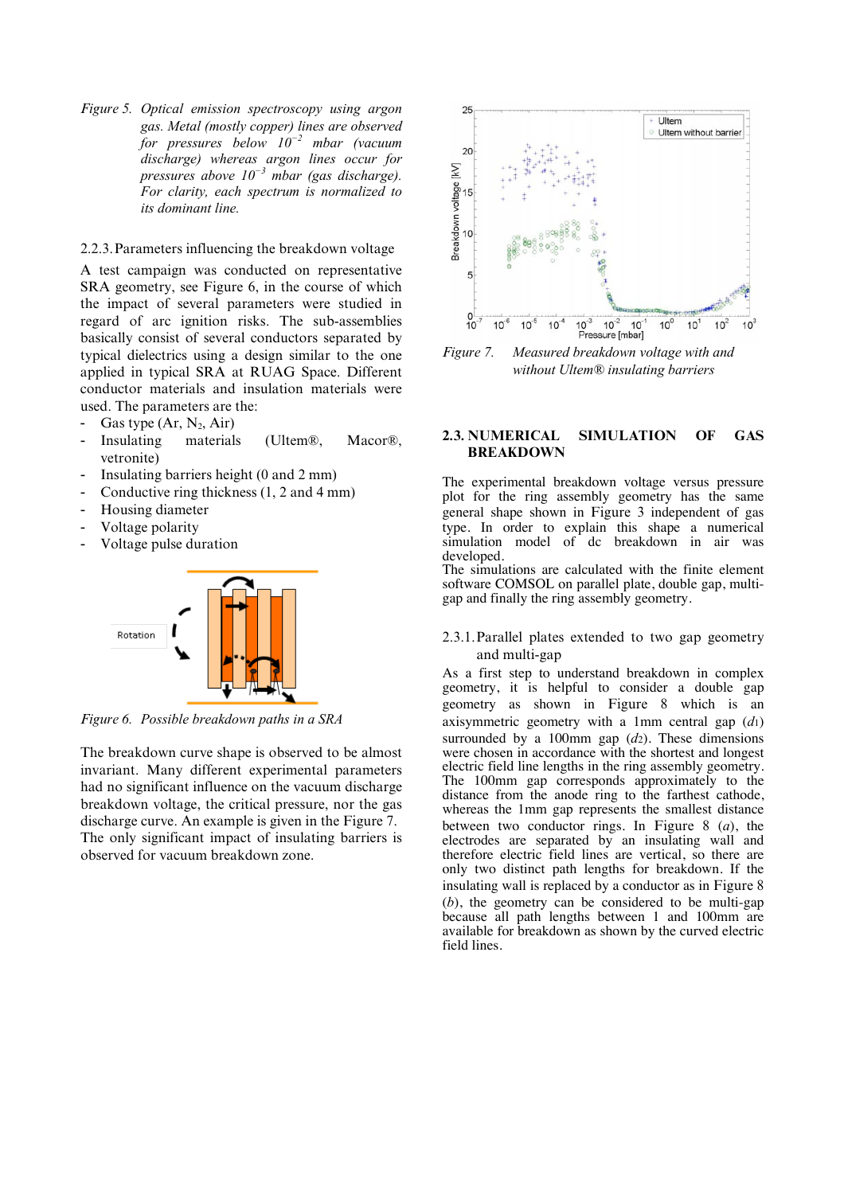*Figure 5. Optical emission spectroscopy using argon gas. Metal (mostly copper) lines are observed for pressures below 10<sup>−</sup><sup>2</sup> mbar (vacuum discharge) whereas argon lines occur for pressures above 10<sup>−</sup><sup>3</sup> mbar (gas discharge). For clarity, each spectrum is normalized to its dominant line.* 

## 2.2.3.Parameters influencing the breakdown voltage

A test campaign was conducted on representative SRA geometry, see Figure 6, in the course of which the impact of several parameters were studied in regard of arc ignition risks. The sub-assemblies basically consist of several conductors separated by typical dielectrics using a design similar to the one applied in typical SRA at RUAG Space. Different conductor materials and insulation materials were used. The parameters are the:

- Gas type  $(Ar, N_2, Air)$
- Insulating materials (Ultem®, Macor®, vetronite)
- Insulating barriers height (0 and 2 mm)
- Conductive ring thickness  $(1, 2 \text{ and } 4 \text{ mm})$
- Housing diameter
- Voltage polarity
- Voltage pulse duration



*Figure 6. Possible breakdown paths in a SRA* 

The breakdown curve shape is observed to be almost invariant. Many different experimental parameters had no significant influence on the vacuum discharge breakdown voltage, the critical pressure, nor the gas discharge curve. An example is given in the Figure 7. The only significant impact of insulating barriers is observed for vacuum breakdown zone.



*Figure 7. Measured breakdown voltage with and without Ultem® insulating barriers* 

### **2.3. NUMERICAL SIMULATION OF GAS BREAKDOWN**

The experimental breakdown voltage versus pressure plot for the ring assembly geometry has the same general shape shown in Figure 3 independent of gas type. In order to explain this shape a numerical simulation model of dc breakdown in air was developed.

The simulations are calculated with the finite element software COMSOL on parallel plate, double gap, multigap and finally the ring assembly geometry.

#### 2.3.1.Parallel plates extended to two gap geometry and multi-gap

As a first step to understand breakdown in complex geometry, it is helpful to consider a double gap geometry as shown in Figure 8 which is an axisymmetric geometry with a 1mm central gap (*d*1) surrounded by a 100mm gap (*d*2). These dimensions were chosen in accordance with the shortest and longest electric field line lengths in the ring assembly geometry. The 100mm gap corresponds approximately to the distance from the anode ring to the farthest cathode, whereas the 1mm gap represents the smallest distance between two conductor rings. In Figure 8 (*a*), the electrodes are separated by an insulating wall and therefore electric field lines are vertical, so there are only two distinct path lengths for breakdown. If the insulating wall is replaced by a conductor as in Figure 8 (*b*), the geometry can be considered to be multi-gap because all path lengths between 1 and 100mm are available for breakdown as shown by the curved electric field lines.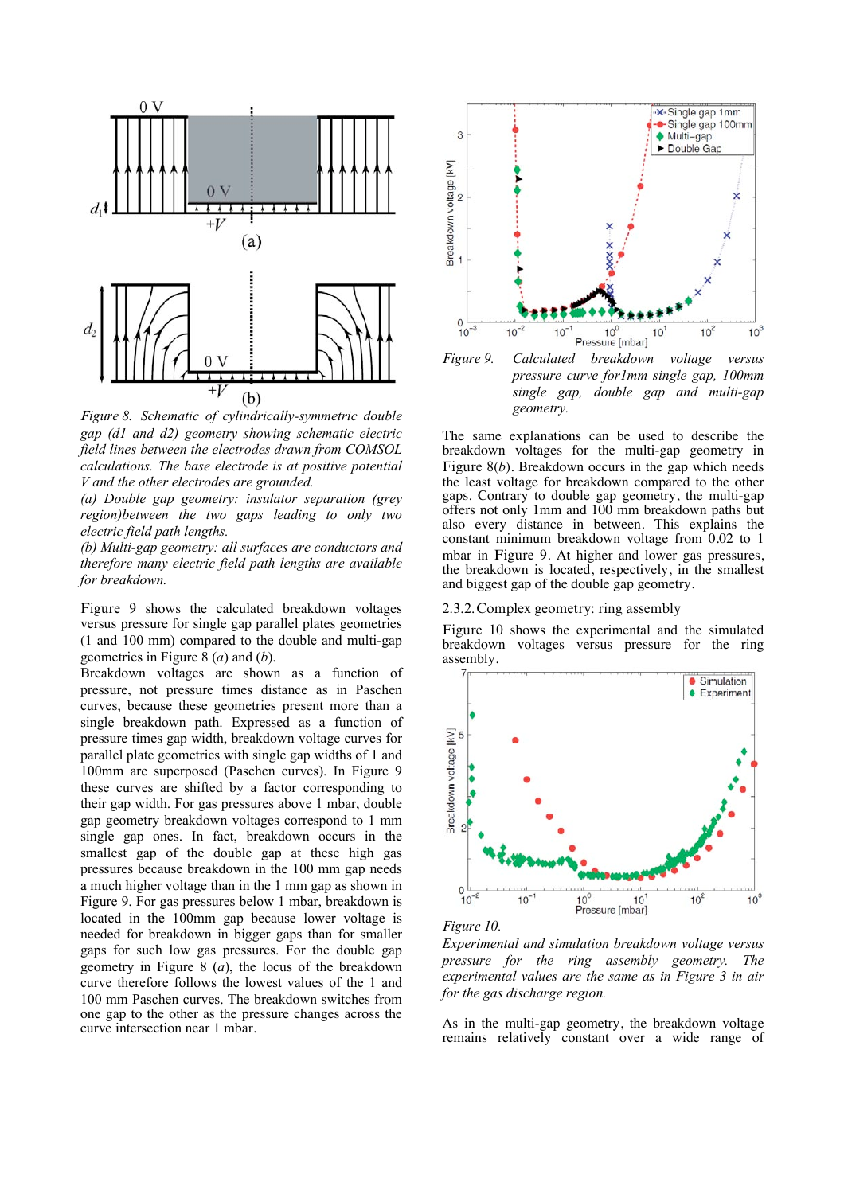

*Figure 8. Schematic of cylindrically-symmetric double gap (d1 and d2) geometry showing schematic electric field lines between the electrodes drawn from COMSOL calculations. The base electrode is at positive potential V and the other electrodes are grounded.* 

*(a) Double gap geometry: insulator separation (grey region)between the two gaps leading to only two electric field path lengths.* 

*(b) Multi-gap geometry: all surfaces are conductors and therefore many electric field path lengths are available for breakdown.* 

Figure 9 shows the calculated breakdown voltages versus pressure for single gap parallel plates geometries (1 and 100 mm) compared to the double and multi-gap geometries in Figure 8 (*a*) and (*b*).

Breakdown voltages are shown as a function of pressure, not pressure times distance as in Paschen curves, because these geometries present more than a single breakdown path. Expressed as a function of pressure times gap width, breakdown voltage curves for parallel plate geometries with single gap widths of 1 and 100mm are superposed (Paschen curves). In Figure 9 these curves are shifted by a factor corresponding to their gap width. For gas pressures above 1 mbar, double gap geometry breakdown voltages correspond to 1 mm single gap ones. In fact, breakdown occurs in the smallest gap of the double gap at these high gas pressures because breakdown in the 100 mm gap needs a much higher voltage than in the 1 mm gap as shown in Figure 9. For gas pressures below 1 mbar, breakdown is located in the 100mm gap because lower voltage is needed for breakdown in bigger gaps than for smaller gaps for such low gas pressures. For the double gap geometry in Figure 8 (*a*), the locus of the breakdown curve therefore follows the lowest values of the 1 and 100 mm Paschen curves. The breakdown switches from one gap to the other as the pressure changes across the curve intersection near 1 mbar.



*pressure curve for1mm single gap, 100mm single gap, double gap and multi-gap geometry.* 

The same explanations can be used to describe the breakdown voltages for the multi-gap geometry in Figure 8(*b*). Breakdown occurs in the gap which needs the least voltage for breakdown compared to the other gaps. Contrary to double gap geometry, the multi-gap offers not only 1mm and 100 mm breakdown paths but also every distance in between. This explains the constant minimum breakdown voltage from 0.02 to 1 mbar in Figure 9. At higher and lower gas pressures, the breakdown is located, respectively, in the smallest and biggest gap of the double gap geometry.

2.3.2.Complex geometry: ring assembly

Figure 10 shows the experimental and the simulated breakdown voltages versus pressure for the ring assembly.



*Figure 10.* 

*Experimental and simulation breakdown voltage versus pressure for the ring assembly geometry. The experimental values are the same as in Figure 3 in air for the gas discharge region.* 

As in the multi-gap geometry, the breakdown voltage remains relatively constant over a wide range of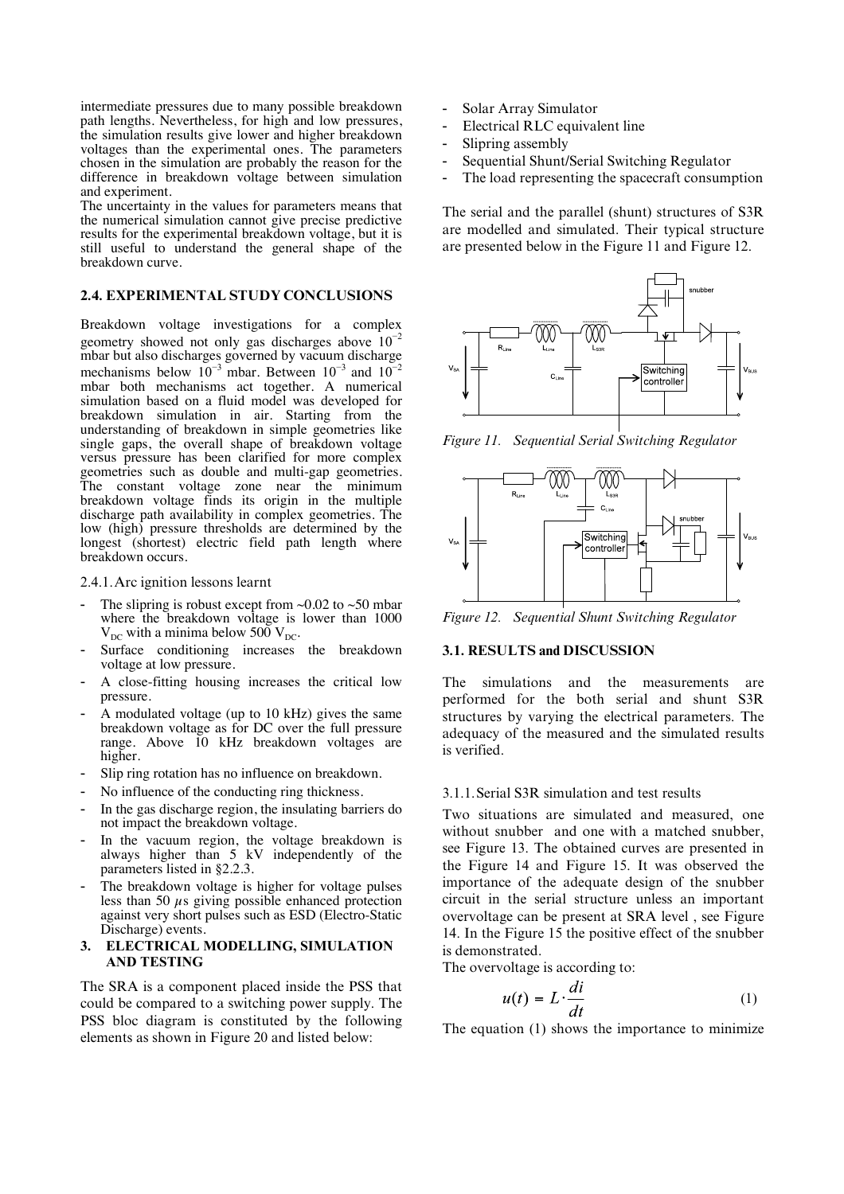intermediate pressures due to many possible breakdown path lengths. Nevertheless, for high and low pressures, the simulation results give lower and higher breakdown voltages than the experimental ones. The parameters chosen in the simulation are probably the reason for the difference in breakdown voltage between simulation and experiment.

The uncertainty in the values for parameters means that the numerical simulation cannot give precise predictive results for the experimental breakdown voltage, but it is still useful to understand the general shape of the breakdown curve.

### **2.4. EXPERIMENTAL STUDY CONCLUSIONS**

Breakdown voltage investigations for a complex geometry showed not only gas discharges above  $10^{-2}$ mbar but also discharges governed by vacuum discharge mechanisms below  $10^{-3}$  mbar. Between  $10^{-3}$  and  $10^{-2}$ mbar both mechanisms act together. A numerical simulation based on a fluid model was developed for breakdown simulation in air. Starting from the understanding of breakdown in simple geometries like single gaps, the overall shape of breakdown voltage versus pressure has been clarified for more complex geometries such as double and multi-gap geometries. The constant voltage zone near the minimum breakdown voltage finds its origin in the multiple discharge path availability in complex geometries. The low (high) pressure thresholds are determined by the longest (shortest) electric field path length where breakdown occurs.

2.4.1.Arc ignition lessons learnt

- The slipring is robust except from  $\sim 0.02$  to  $\sim 50$  mbar where the breakdown voltage is lower than 1000  $V_{DC}$  with a minima below 500  $V_{DC}$ .
- Surface conditioning increases the breakdown voltage at low pressure.
- A close-fitting housing increases the critical low pressure.
- A modulated voltage (up to 10 kHz) gives the same breakdown voltage as for DC over the full pressure range. Above 10 kHz breakdown voltages are higher.
- Slip ring rotation has no influence on breakdown.
- No influence of the conducting ring thickness.
- In the gas discharge region, the insulating barriers do not impact the breakdown voltage.
- In the vacuum region, the voltage breakdown is always higher than 5 kV independently of the parameters listed in §2.2.3.
- The breakdown voltage is higher for voltage pulses less than 50  $\mu$ s giving possible enhanced protection against very short pulses such as ESD (Electro-Static Discharge) events.

#### **3. ELECTRICAL MODELLING, SIMULATION AND TESTING**

The SRA is a component placed inside the PSS that could be compared to a switching power supply. The PSS bloc diagram is constituted by the following elements as shown in Figure 20 and listed below:

- Solar Array Simulator
- Electrical RLC equivalent line
- Slipring assembly
- Sequential Shunt/Serial Switching Regulator
- The load representing the spacecraft consumption

The serial and the parallel (shunt) structures of S3R are modelled and simulated. Their typical structure are presented below in the Figure 11 and Figure 12.



*Figure 11. Sequential Serial Switching Regulator* 



*Figure 12. Sequential Shunt Switching Regulator* 

### **3.1. RESULTS and DISCUSSION**

The simulations and the measurements are performed for the both serial and shunt S3R structures by varying the electrical parameters. The adequacy of the measured and the simulated results is verified.

#### 3.1.1.Serial S3R simulation and test results

Two situations are simulated and measured, one without snubber and one with a matched snubber, see Figure 13. The obtained curves are presented in the Figure 14 and Figure 15. It was observed the importance of the adequate design of the snubber circuit in the serial structure unless an important overvoltage can be present at SRA level , see Figure 14. In the Figure 15 the positive effect of the snubber is demonstrated.

The overvoltage is according to:

$$
u(t) = L \cdot \frac{di}{dt} \tag{1}
$$

The equation (1) shows the importance to minimize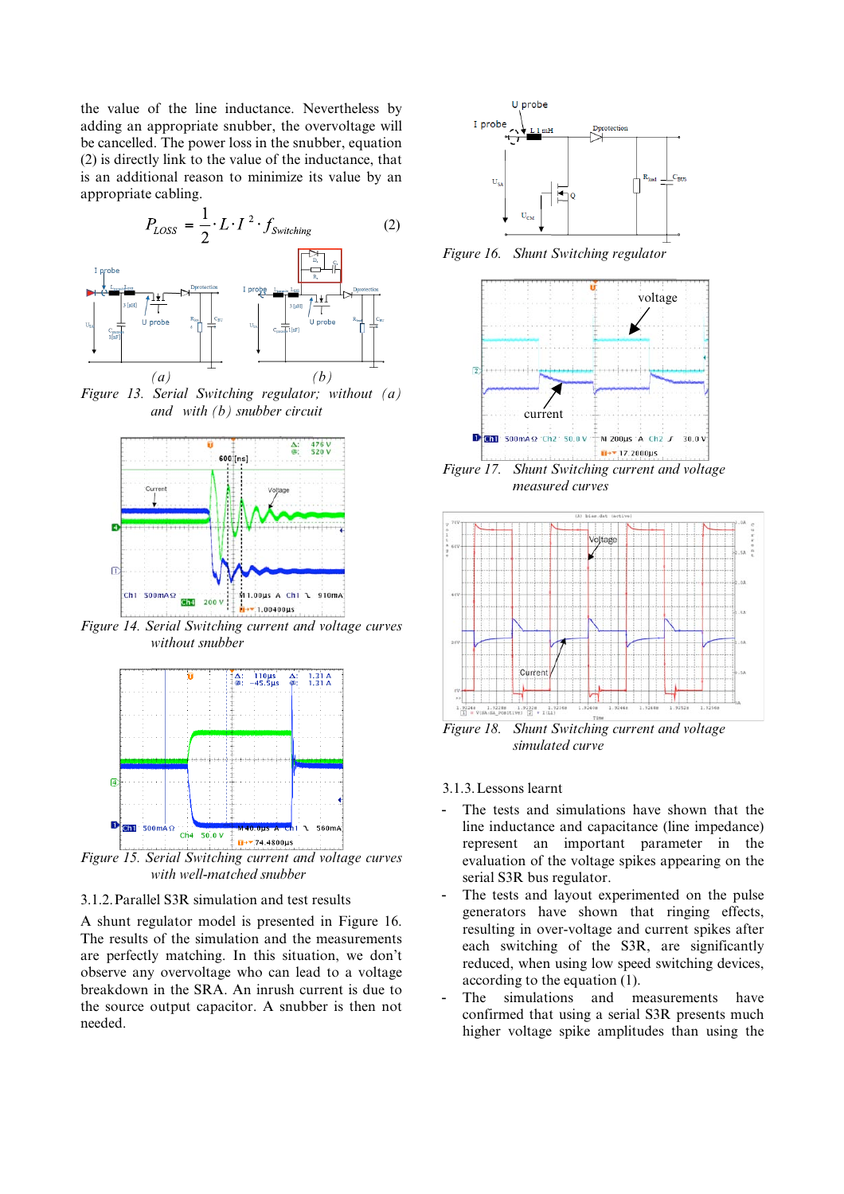the value of the line inductance. Nevertheless by adding an appropriate snubber, the overvoltage will be cancelled. The power loss in the snubber, equation (2) is directly link to the value of the inductance, that is an additional reason to minimize its value by an appropriate cabling.



*Figure 13. Serial Switching regulator; without (a) and with (b) snubber circuit* 



*Figure 14. Serial Switching current and voltage curves without snubber* 



*Figure 15. Serial Switching current and voltage curves with well-matched snubber* 

#### 3.1.2.Parallel S3R simulation and test results

A shunt regulator model is presented in Figure 16. The results of the simulation and the measurements are perfectly matching. In this situation, we don't observe any overvoltage who can lead to a voltage breakdown in the SRA. An inrush current is due to the source output capacitor. A snubber is then not needed.



*Figure 16. Shunt Switching regulator* 



 *measured curves* 



*Figure 18. Shunt Switching current and voltage simulated curve* 

### 3.1.3.Lessons learnt

- The tests and simulations have shown that the line inductance and capacitance (line impedance) represent an important parameter in the evaluation of the voltage spikes appearing on the serial S3R bus regulator.
- The tests and layout experimented on the pulse generators have shown that ringing effects, resulting in over-voltage and current spikes after each switching of the S3R, are significantly reduced, when using low speed switching devices, according to the equation (1).
- The simulations and measurements have confirmed that using a serial S3R presents much higher voltage spike amplitudes than using the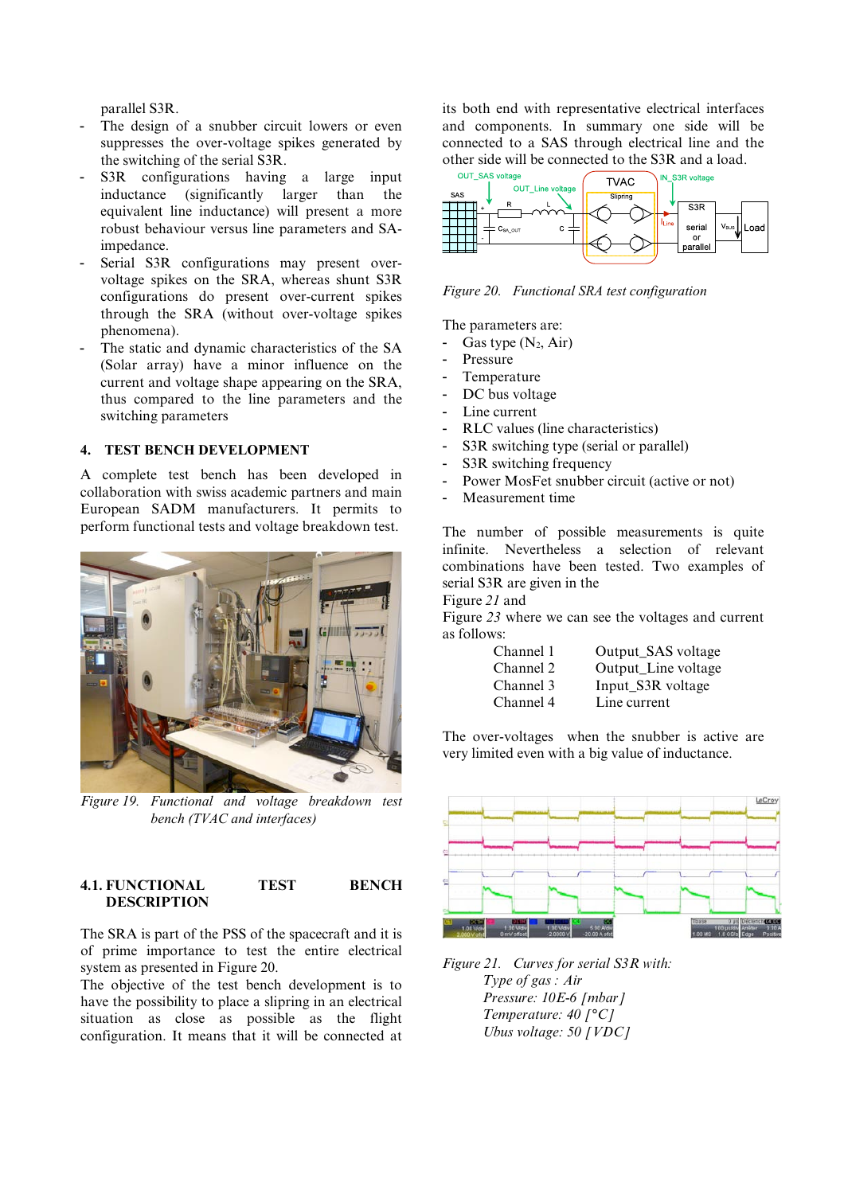parallel S3R.

- The design of a snubber circuit lowers or even suppresses the over-voltage spikes generated by the switching of the serial S3R.
- S3R configurations having a large input<br>inductance (significantly larger than the  $(significantly larger than the$ equivalent line inductance) will present a more robust behaviour versus line parameters and SAimpedance.
- Serial S3R configurations may present overvoltage spikes on the SRA, whereas shunt S3R configurations do present over-current spikes through the SRA (without over-voltage spikes phenomena).
- The static and dynamic characteristics of the SA (Solar array) have a minor influence on the current and voltage shape appearing on the SRA, thus compared to the line parameters and the switching parameters

## **4. TEST BENCH DEVELOPMENT**

A complete test bench has been developed in collaboration with swiss academic partners and main European SADM manufacturers. It permits to perform functional tests and voltage breakdown test.



*Figure 19. Functional and voltage breakdown test bench (TVAC and interfaces)*

## **4.1. FUNCTIONAL TEST BENCH DESCRIPTION**

The SRA is part of the PSS of the spacecraft and it is of prime importance to test the entire electrical system as presented in Figure 20.

The objective of the test bench development is to have the possibility to place a slipring in an electrical situation as close as possible as the flight configuration. It means that it will be connected at its both end with representative electrical interfaces and components. In summary one side will be connected to a SAS through electrical line and the other side will be connected to the S3R and a load.



*Figure 20. Functional SRA test configuration*

The parameters are:

- Gas type  $(N_2, Air)$
- Pressure
- Temperature
- DC bus voltage
- Line current
- RLC values (line characteristics)
- S3R switching type (serial or parallel)
- S3R switching frequency
- Power MosFet snubber circuit (active or not)
- Measurement time

The number of possible measurements is quite infinite. Nevertheless a selection of relevant combinations have been tested. Two examples of serial S3R are given in the

Figure *21* and

Figure *23* where we can see the voltages and current as follows:

| Channel 1 | Output_SAS voltage  |
|-----------|---------------------|
| Channel 2 | Output_Line voltage |
| Channel 3 | Input_S3R voltage   |
| Channel 4 | Line current        |

The over-voltages when the snubber is active are very limited even with a big value of inductance.



*Figure 21. Curves for serial S3R with: Type of gas : Air Pressure: 10E-6 [mbar] Temperature: 40 [°C] Ubus voltage: 50 [VDC]*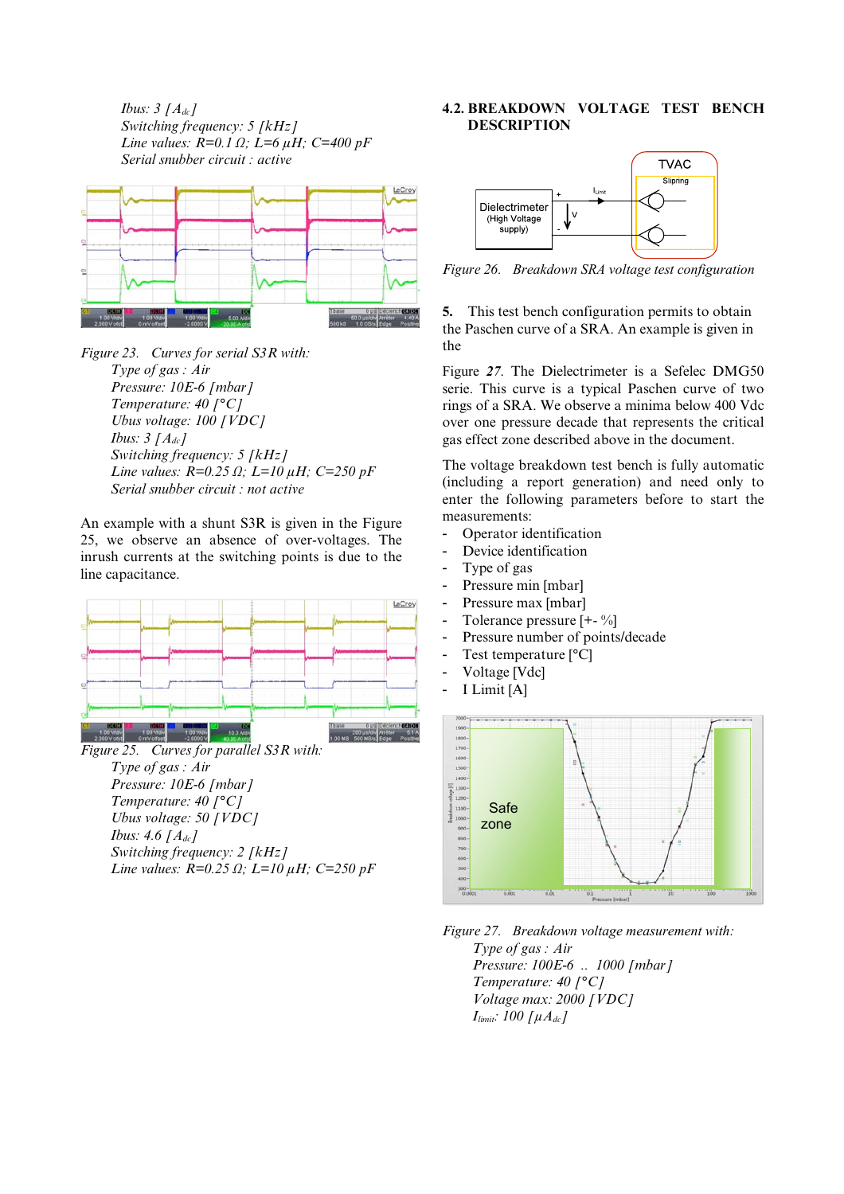*Ibus: 3 [Adc] Switching frequency: 5 [kHz] Line values: R=0.1 Ω; L=6 μH; C=400 pF Serial snubber circuit : active* 



*Figure 23. Curves for serial S3R with: Type of gas : Air Pressure: 10E-6 [mbar] Temperature: 40 [°C] Ubus voltage: 100 [VDC] Ibus: 3 [Adc] Switching frequency: 5 [kHz] Line values: R=0.25 Ω; L=10 μH; C=250 pF Serial snubber circuit : not active* 

An example with a shunt S3R is given in the Figure 25, we observe an absence of over-voltages. The inrush currents at the switching points is due to the line capacitance.



*Figure 25. Curves for parallel S3R with: Type of gas : Air Pressure: 10E-6 [mbar] Temperature: 40 [°C] Ubus voltage: 50 [VDC] Ibus: 4.6 [Adc] Switching frequency: 2 [kHz] Line values: R=0.25 Ω; L=10 μH; C=250 pF* 

## **4.2. BREAKDOWN VOLTAGE TEST BENCH DESCRIPTION**



*Figure 26. Breakdown SRA voltage test configuration*

**5.** This test bench configuration permits to obtain the Paschen curve of a SRA. An example is given in the

Figure *27*. The Dielectrimeter is a Sefelec DMG50 serie. This curve is a typical Paschen curve of two rings of a SRA. We observe a minima below 400 Vdc over one pressure decade that represents the critical gas effect zone described above in the document.

The voltage breakdown test bench is fully automatic (including a report generation) and need only to enter the following parameters before to start the measurements:

- Operator identification
- Device identification
- Type of gas
- Pressure min [mbar]
- Pressure max [mbar]
- Tolerance pressure [+- %]
- Pressure number of points/decade
- Test temperature [°C]
- Voltage [Vdc]
- I Limit [A]



*Figure 27. Breakdown voltage measurement with: Type of gas : Air Pressure: 100E-6 .. 1000 [mbar] Temperature: 40 [°C]* 

 *Voltage max: 2000 [VDC]*   $I_{limit:}$  100  $\lceil \mu A_{dc} \rceil$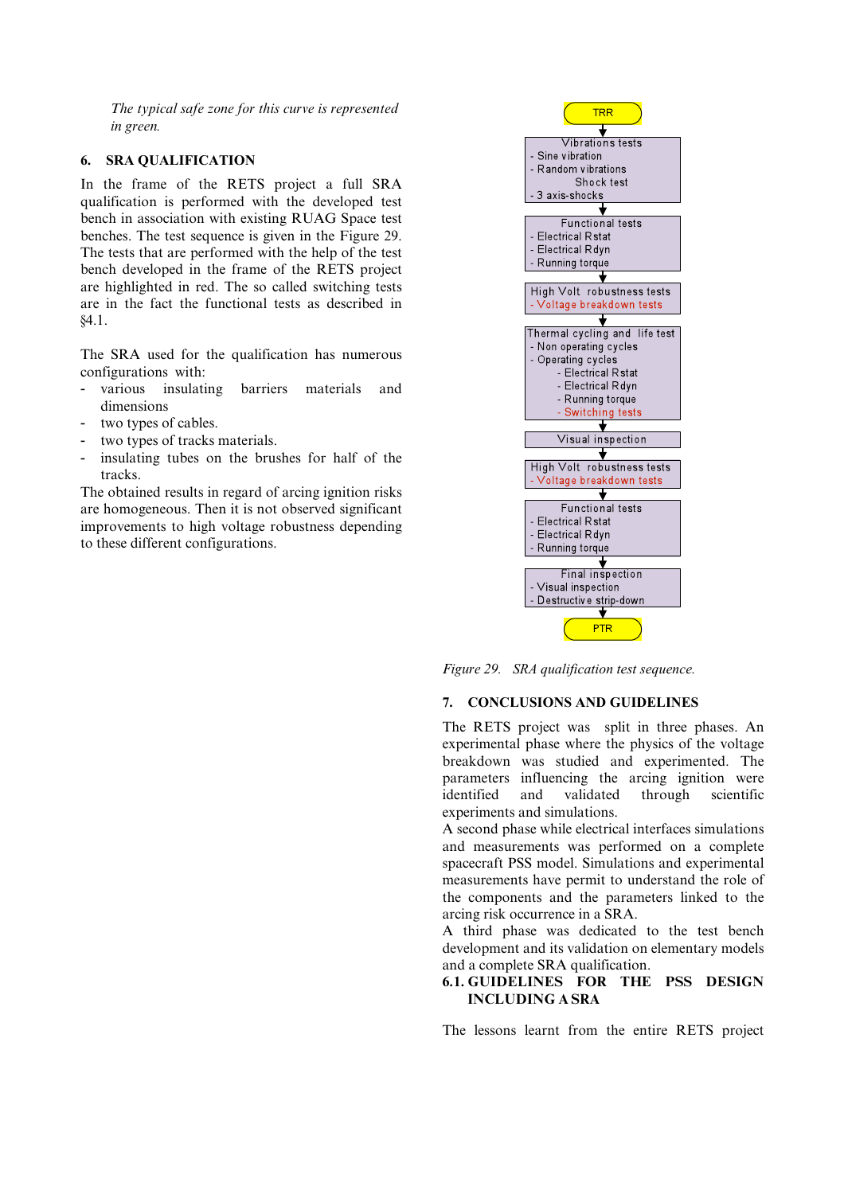*The typical safe zone for this curve is represented in green.* 

### **6. SRA QUALIFICATION**

In the frame of the RETS project a full SRA qualification is performed with the developed test bench in association with existing RUAG Space test benches. The test sequence is given in the Figure 29. The tests that are performed with the help of the test bench developed in the frame of the RETS project are highlighted in red. The so called switching tests are in the fact the functional tests as described in §4.1.

The SRA used for the qualification has numerous configurations with:

- various insulating barriers materials and dimensions
- two types of cables.
- two types of tracks materials.
- insulating tubes on the brushes for half of the tracks.

The obtained results in regard of arcing ignition risks are homogeneous. Then it is not observed significant improvements to high voltage robustness depending to these different configurations.



*Figure 29. SRA qualification test sequence.* 

## **7. CONCLUSIONS AND GUIDELINES**

The RETS project was split in three phases. An experimental phase where the physics of the voltage breakdown was studied and experimented. The parameters influencing the arcing ignition were identified and validated through scientific experiments and simulations.

A second phase while electrical interfaces simulations and measurements was performed on a complete spacecraft PSS model. Simulations and experimental measurements have permit to understand the role of the components and the parameters linked to the arcing risk occurrence in a SRA.

A third phase was dedicated to the test bench development and its validation on elementary models and a complete SRA qualification.

## **6.1. GUIDELINES FOR THE PSS DESIGN INCLUDING A SRA**

The lessons learnt from the entire RETS project